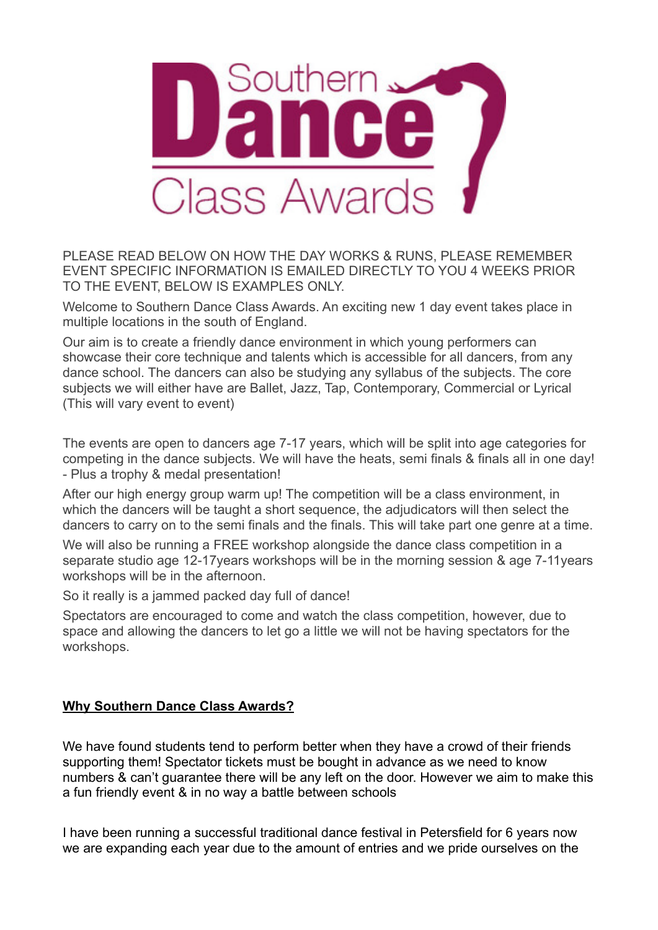

PLEASE READ BELOW ON HOW THE DAY WORKS & RUNS, PLEASE REMEMBER EVENT SPECIFIC INFORMATION IS EMAILED DIRECTLY TO YOU 4 WEEKS PRIOR TO THE EVENT, BELOW IS EXAMPLES ONLY.

Welcome to Southern Dance Class Awards. An exciting new 1 day event takes place in multiple locations in the south of England.

Our aim is to create a friendly dance environment in which young performers can showcase their core technique and talents which is accessible for all dancers, from any dance school. The dancers can also be studying any syllabus of the subjects. The core subjects we will either have are Ballet, Jazz, Tap, Contemporary, Commercial or Lyrical (This will vary event to event)

The events are open to dancers age 7-17 years, which will be split into age categories for competing in the dance subjects. We will have the heats, semi finals & finals all in one day! - Plus a trophy & medal presentation!

After our high energy group warm up! The competition will be a class environment, in which the dancers will be taught a short sequence, the adjudicators will then select the dancers to carry on to the semi finals and the finals. This will take part one genre at a time.

We will also be running a FREE workshop alongside the dance class competition in a separate studio age 12-17years workshops will be in the morning session & age 7-11years workshops will be in the afternoon.

So it really is a jammed packed day full of dance!

Spectators are encouraged to come and watch the class competition, however, due to space and allowing the dancers to let go a little we will not be having spectators for the workshops.

# **Why Southern Dance Class Awards?**

We have found students tend to perform better when they have a crowd of their friends supporting them! Spectator tickets must be bought in advance as we need to know numbers & can't guarantee there will be any left on the door. However we aim to make this a fun friendly event & in no way a battle between schools

I have been running a successful traditional dance festival in Petersfield for 6 years now we are expanding each year due to the amount of entries and we pride ourselves on the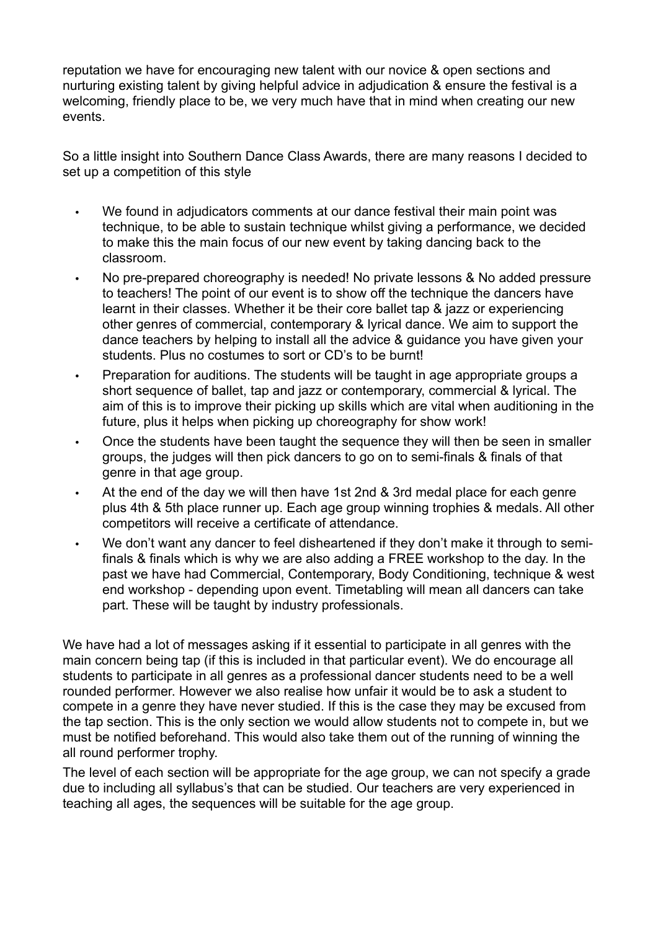reputation we have for encouraging new talent with our novice & open sections and nurturing existing talent by giving helpful advice in adjudication & ensure the festival is a welcoming, friendly place to be, we very much have that in mind when creating our new events.

So a little insight into Southern Dance Class Awards, there are many reasons I decided to set up a competition of this style

- We found in adjudicators comments at our dance festival their main point was technique, to be able to sustain technique whilst giving a performance, we decided to make this the main focus of our new event by taking dancing back to the classroom.
- No pre-prepared choreography is needed! No private lessons & No added pressure to teachers! The point of our event is to show off the technique the dancers have learnt in their classes. Whether it be their core ballet tap & jazz or experiencing other genres of commercial, contemporary & lyrical dance. We aim to support the dance teachers by helping to install all the advice & guidance you have given your students. Plus no costumes to sort or CD's to be burnt!
- Preparation for auditions. The students will be taught in age appropriate groups a short sequence of ballet, tap and jazz or contemporary, commercial & lyrical. The aim of this is to improve their picking up skills which are vital when auditioning in the future, plus it helps when picking up choreography for show work!
- Once the students have been taught the sequence they will then be seen in smaller groups, the judges will then pick dancers to go on to semi-finals & finals of that genre in that age group.
- At the end of the day we will then have 1st 2nd & 3rd medal place for each genre plus 4th & 5th place runner up. Each age group winning trophies & medals. All other competitors will receive a certificate of attendance.
- We don't want any dancer to feel disheartened if they don't make it through to semifinals & finals which is why we are also adding a FREE workshop to the day. In the past we have had Commercial, Contemporary, Body Conditioning, technique & west end workshop - depending upon event. Timetabling will mean all dancers can take part. These will be taught by industry professionals.

We have had a lot of messages asking if it essential to participate in all genres with the main concern being tap (if this is included in that particular event). We do encourage all students to participate in all genres as a professional dancer students need to be a well rounded performer. However we also realise how unfair it would be to ask a student to compete in a genre they have never studied. If this is the case they may be excused from the tap section. This is the only section we would allow students not to compete in, but we must be notified beforehand. This would also take them out of the running of winning the all round performer trophy.

The level of each section will be appropriate for the age group, we can not specify a grade due to including all syllabus's that can be studied. Our teachers are very experienced in teaching all ages, the sequences will be suitable for the age group.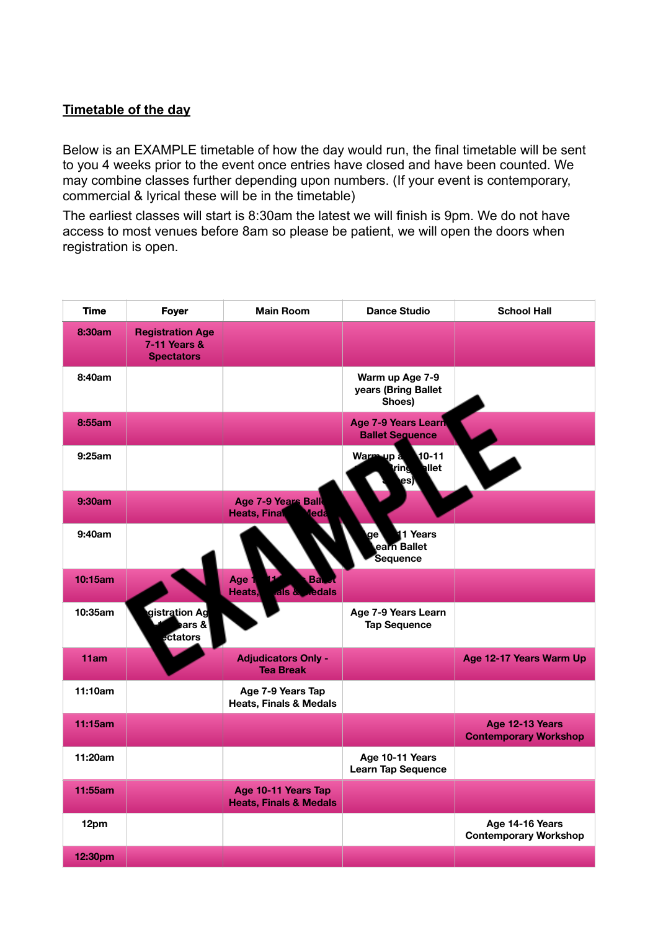### **Timetable of the day**

Below is an EXAMPLE timetable of how the day would run, the final timetable will be sent to you 4 weeks prior to the event once entries have closed and have been counted. We may combine classes further depending upon numbers. (If your event is contemporary, commercial & lyrical these will be in the timetable)

The earliest classes will start is 8:30am the latest we will finish is 9pm. We do not have access to most venues before 8am so please be patient, we will open the doors when registration is open.

| Time    | <b>Foyer</b>                                                 | <b>Main Room</b>                                         | <b>Dance Studio</b>                                  | <b>School Hall</b>                              |
|---------|--------------------------------------------------------------|----------------------------------------------------------|------------------------------------------------------|-------------------------------------------------|
| 8:30am  | <b>Registration Age</b><br>7-11 Years &<br><b>Spectators</b> |                                                          |                                                      |                                                 |
| 8:40am  |                                                              |                                                          | Warm up Age 7-9<br>years (Bring Ballet<br>Shoes)     |                                                 |
| 8:55am  |                                                              |                                                          | <b>Age 7-9 Years Learn</b><br><b>Ballet Sequence</b> |                                                 |
| 9:25am  |                                                              |                                                          | $10 - 11$<br>Warm up a<br>allet<br>ring<br>es)       | $\blacktriangledown$                            |
| 9:30am  |                                                              | Age 7-9 Years Ball<br><b>Heats, Final</b><br><b>Teda</b> |                                                      |                                                 |
| 9:40am  |                                                              |                                                          | 1 Years<br>ge ۱<br>earn Ballet<br>Sequence           |                                                 |
| 10:15am |                                                              | Age <sup>1</sup><br>Bal<br>als & <b>Redals</b><br>Heats, |                                                      |                                                 |
| 10:35am | gistration Ag<br>≱ars &<br>ectators                          |                                                          | Age 7-9 Years Learn<br><b>Tap Sequence</b>           |                                                 |
| 11am    |                                                              | <b>Adjudicators Only -</b><br><b>Tea Break</b>           |                                                      | Age 12-17 Years Warm Up                         |
| 11:10am |                                                              | Age 7-9 Years Tap<br><b>Heats, Finals &amp; Medals</b>   |                                                      |                                                 |
| 11:15am |                                                              |                                                          |                                                      | Age 12-13 Years<br><b>Contemporary Workshop</b> |
| 11:20am |                                                              |                                                          | Age 10-11 Years<br><b>Learn Tap Sequence</b>         |                                                 |
| 11:55am |                                                              | Age 10-11 Years Tap<br><b>Heats, Finals &amp; Medals</b> |                                                      |                                                 |
| 12pm    |                                                              |                                                          |                                                      | Age 14-16 Years<br><b>Contemporary Workshop</b> |
| 12:30pm |                                                              |                                                          |                                                      |                                                 |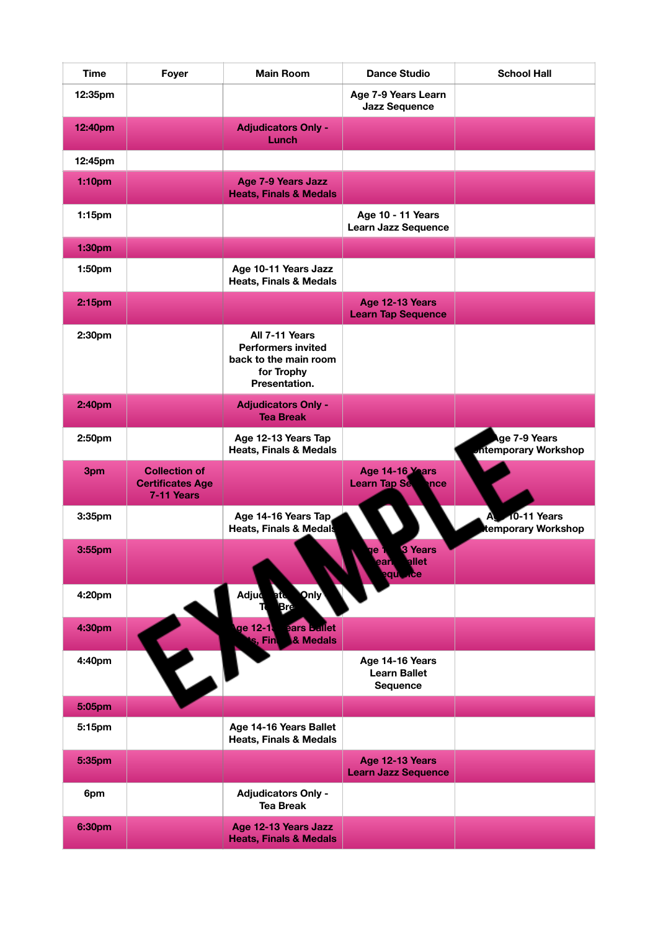| <b>Time</b>        | Foyer                                                         | <b>Main Room</b>                                                                                    | <b>Dance Studio</b>                                       | <b>School Hall</b>                          |
|--------------------|---------------------------------------------------------------|-----------------------------------------------------------------------------------------------------|-----------------------------------------------------------|---------------------------------------------|
| 12:35pm            |                                                               |                                                                                                     | Age 7-9 Years Learn<br><b>Jazz Sequence</b>               |                                             |
| 12:40pm            |                                                               | <b>Adjudicators Only -</b><br>Lunch                                                                 |                                                           |                                             |
| 12:45pm            |                                                               |                                                                                                     |                                                           |                                             |
| 1:10pm             |                                                               | <b>Age 7-9 Years Jazz</b><br><b>Heats, Finals &amp; Medals</b>                                      |                                                           |                                             |
| 1:15 <sub>pm</sub> |                                                               |                                                                                                     | Age 10 - 11 Years<br><b>Learn Jazz Sequence</b>           |                                             |
| 1:30pm             |                                                               |                                                                                                     |                                                           |                                             |
| 1:50pm             |                                                               | Age 10-11 Years Jazz<br><b>Heats, Finals &amp; Medals</b>                                           |                                                           |                                             |
| 2:15pm             |                                                               |                                                                                                     | Age 12-13 Years<br><b>Learn Tap Sequence</b>              |                                             |
| 2:30pm             |                                                               | All 7-11 Years<br><b>Performers invited</b><br>back to the main room<br>for Trophy<br>Presentation. |                                                           |                                             |
| 2:40pm             |                                                               | <b>Adjudicators Only -</b><br><b>Tea Break</b>                                                      |                                                           |                                             |
| 2:50pm             |                                                               | Age 12-13 Years Tap<br><b>Heats, Finals &amp; Medals</b>                                            |                                                           | ge 7-9 Years<br><b>Intemporary Workshop</b> |
| 3pm                | <b>Collection of</b><br><b>Certificates Age</b><br>7-11 Years |                                                                                                     | Age 14-16 Years<br><b>Learn Tap Se</b><br>nce             |                                             |
| 3:35pm             |                                                               | Age 14-16 Years Tap<br><b>Heats, Finals &amp; Medals</b>                                            |                                                           | 10-11 Years<br>A<br>temporary Workshop      |
| 3:55pm             |                                                               |                                                                                                     | 3 Years<br>ge 1<br>earlellet<br>equince                   |                                             |
| 4:20pm             |                                                               | <b>Only</b><br>Adjud                                                                                |                                                           |                                             |
| 4:30pm             |                                                               | ge 12-1.<br>ears Ballet<br>& Medals<br>s, Fin                                                       |                                                           |                                             |
| 4:40pm             | E                                                             |                                                                                                     | Age 14-16 Years<br><b>Learn Ballet</b><br><b>Sequence</b> |                                             |
| 5:05pm             |                                                               |                                                                                                     |                                                           |                                             |
| 5:15pm             |                                                               | Age 14-16 Years Ballet<br><b>Heats, Finals &amp; Medals</b>                                         |                                                           |                                             |
| 5:35pm             |                                                               |                                                                                                     | Age 12-13 Years<br><b>Learn Jazz Sequence</b>             |                                             |
| 6pm                |                                                               | <b>Adjudicators Only -</b><br><b>Tea Break</b>                                                      |                                                           |                                             |
| 6:30pm             |                                                               | Age 12-13 Years Jazz<br><b>Heats, Finals &amp; Medals</b>                                           |                                                           |                                             |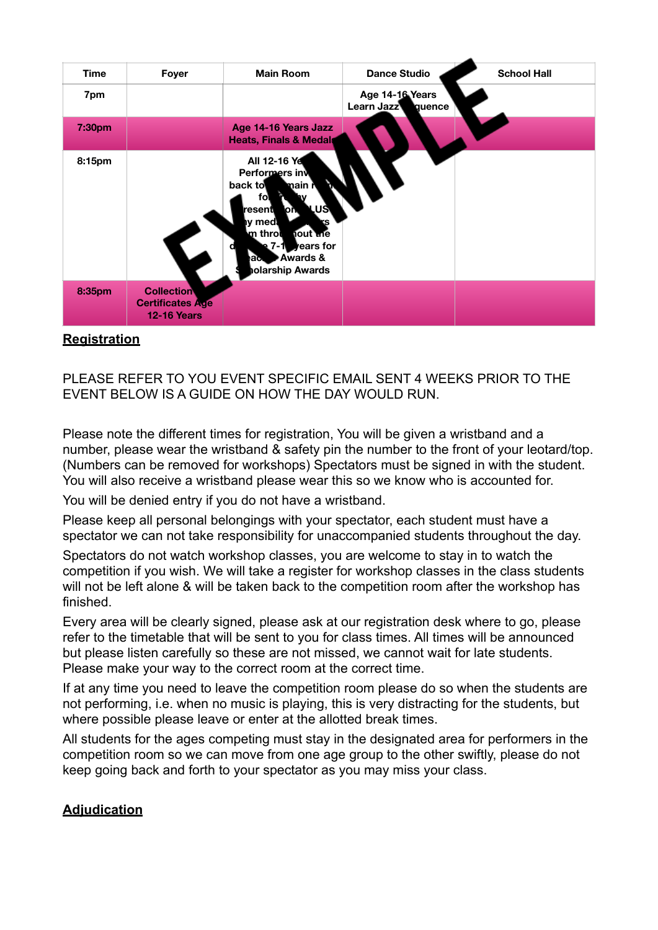| <b>Time</b> | <b>Foyer</b>                                                       | <b>Main Room</b>                                                                                                                                                                                    | <b>Dance Studio</b>                     | <b>School Hall</b> |
|-------------|--------------------------------------------------------------------|-----------------------------------------------------------------------------------------------------------------------------------------------------------------------------------------------------|-----------------------------------------|--------------------|
| 7pm         |                                                                    |                                                                                                                                                                                                     | Age 14-16 Years<br>Learn Jazz<br>quence |                    |
| 7:30pm      |                                                                    | Age 14-16 Years Jazz<br><b>Heats, Finals &amp; Medals</b>                                                                                                                                           |                                         |                    |
| 8:15pm      |                                                                    | All 12-16 Ye<br>Performers in<br>back to<br>main N<br>fol<br>.US\<br>resent<br>۱oħ<br>y medł<br>٤S.<br>m throt<br><b>nout me</b><br>years for<br>e 7-1<br>Awards &<br>≀ас<br><b>olarship Awards</b> |                                         |                    |
| 8:35pm      | <b>Collection</b><br><b>Certificates Age</b><br><b>12-16 Years</b> |                                                                                                                                                                                                     |                                         |                    |

## **Registration**

PLEASE REFER TO YOU EVENT SPECIFIC EMAIL SENT 4 WEEKS PRIOR TO THE EVENT BELOW IS A GUIDE ON HOW THE DAY WOULD RUN.

Please note the different times for registration, You will be given a wristband and a number, please wear the wristband & safety pin the number to the front of your leotard/top. (Numbers can be removed for workshops) Spectators must be signed in with the student. You will also receive a wristband please wear this so we know who is accounted for.

You will be denied entry if you do not have a wristband.

Please keep all personal belongings with your spectator, each student must have a spectator we can not take responsibility for unaccompanied students throughout the day.

Spectators do not watch workshop classes, you are welcome to stay in to watch the competition if you wish. We will take a register for workshop classes in the class students will not be left alone & will be taken back to the competition room after the workshop has finished.

Every area will be clearly signed, please ask at our registration desk where to go, please refer to the timetable that will be sent to you for class times. All times will be announced but please listen carefully so these are not missed, we cannot wait for late students. Please make your way to the correct room at the correct time.

If at any time you need to leave the competition room please do so when the students are not performing, i.e. when no music is playing, this is very distracting for the students, but where possible please leave or enter at the allotted break times.

All students for the ages competing must stay in the designated area for performers in the competition room so we can move from one age group to the other swiftly, please do not keep going back and forth to your spectator as you may miss your class.

## **Adjudication**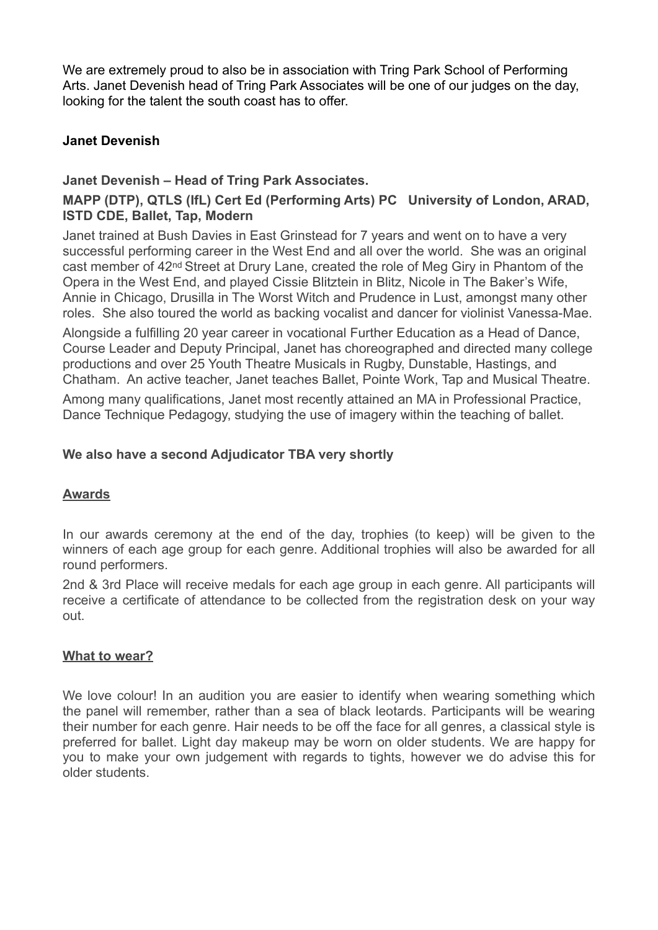We are extremely proud to also be in association with Tring Park School of Performing Arts. Janet Devenish head of Tring Park Associates will be one of our judges on the day, looking for the talent the south coast has to offer.

## **Janet Devenish**

### **Janet Devenish – Head of Tring Park Associates.**

## **MAPP (DTP), QTLS (IfL) Cert Ed (Performing Arts) PC University of London, ARAD, ISTD CDE, Ballet, Tap, Modern**

Janet trained at Bush Davies in East Grinstead for 7 years and went on to have a very successful performing career in the West End and all over the world. She was an original cast member of 42nd Street at Drury Lane, created the role of Meg Giry in Phantom of the Opera in the West End, and played Cissie Blitztein in Blitz, Nicole in The Baker's Wife, Annie in Chicago, Drusilla in The Worst Witch and Prudence in Lust, amongst many other roles. She also toured the world as backing vocalist and dancer for violinist Vanessa-Mae.

Alongside a fulfilling 20 year career in vocational Further Education as a Head of Dance, Course Leader and Deputy Principal, Janet has choreographed and directed many college productions and over 25 Youth Theatre Musicals in Rugby, Dunstable, Hastings, and Chatham. An active teacher, Janet teaches Ballet, Pointe Work, Tap and Musical Theatre.

Among many qualifications, Janet most recently attained an MA in Professional Practice, Dance Technique Pedagogy, studying the use of imagery within the teaching of ballet.

### **We also have a second Adjudicator TBA very shortly**

### **Awards**

In our awards ceremony at the end of the day, trophies (to keep) will be given to the winners of each age group for each genre. Additional trophies will also be awarded for all round performers.

2nd & 3rd Place will receive medals for each age group in each genre. All participants will receive a certificate of attendance to be collected from the registration desk on your way out.

### **What to wear?**

We love colour! In an audition you are easier to identify when wearing something which the panel will remember, rather than a sea of black leotards. Participants will be wearing their number for each genre. Hair needs to be off the face for all genres, a classical style is preferred for ballet. Light day makeup may be worn on older students. We are happy for you to make your own judgement with regards to tights, however we do advise this for older students.